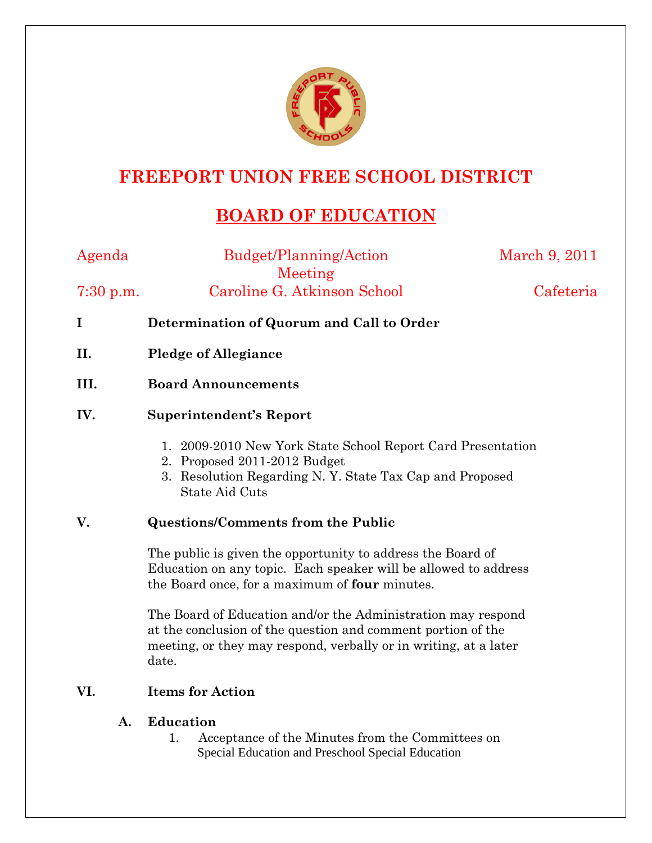

## **FREEPORT UNION FREE SCHOOL DISTRICT**

# **BOARD OF EDUCATION**

| Agenda      | Budget/Planning/Action                                      | March 9, 2011 |
|-------------|-------------------------------------------------------------|---------------|
|             | Meeting                                                     |               |
| $7:30$ p.m. | Caroline G. Atkinson School                                 | Cafeteria     |
| I           | Determination of Quorum and Call to Order                   |               |
| II.         | <b>Pledge of Allegiance</b>                                 |               |
| III.        | <b>Board Announcements</b>                                  |               |
| IV.         | Superintendent's Report                                     |               |
|             | 1. 2009-2010 New York State School Report Card Presentation |               |

- 2. Proposed 2011-2012 Budget
- 3. Resolution Regarding N. Y. State Tax Cap and Proposed State Aid Cuts

### **V. Questions/Comments from the Public**

The public is given the opportunity to address the Board of Education on any topic. Each speaker will be allowed to address the Board once, for a maximum of **four** minutes.

The Board of Education and/or the Administration may respond at the conclusion of the question and comment portion of the meeting, or they may respond, verbally or in writing, at a later date.

### **VI. Items for Action**

#### **A. Education**

1. Acceptance of the Minutes from the Committees on Special Education and Preschool Special Education